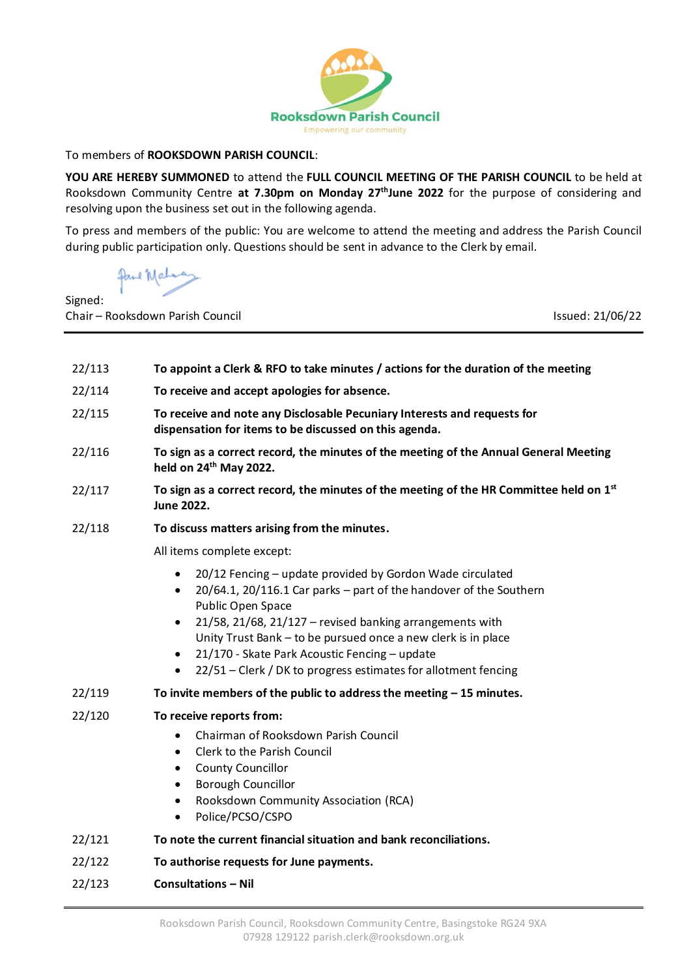

To members of **ROOKSDOWN PARISH COUNCIL**:

**YOU ARE HEREBY SUMMONED** to attend the **FULL COUNCIL MEETING OF THE PARISH COUNCIL** to be held at Rooksdown Community Centre at 7.30pm on Monday 27<sup>th</sup>June 2022 for the purpose of considering and resolving upon the business set out in the following agenda.

To press and members of the public: You are welcome to attend the meeting and address the Parish Council during public participation only. Questions should be sent in advance to the Clerk by email.

Signed:

Chair – Rooksdown Parish Council Issued: 21/06/22

22/113 **To appoint a Clerk & RFO to take minutes / actions for the duration of the meeting** 22/114 **To receive and accept apologies for absence.** 22/115 **To receive and note any Disclosable Pecuniary Interests and requests for dispensation for items to be discussed on this agenda.** 22/116 **To sign as a correct record, the minutes of the meeting of the Annual General Meeting held on 24 th May 2022.** 22/117 **To sign as a correct record, the minutes of the meeting of the HR Committee held on 1st June 2022.** 22/118 **To discuss matters arising from the minutes.** All items complete except: • 20/12 Fencing – update provided by Gordon Wade circulated • 20/64.1, 20/116.1 Car parks – part of the handover of the Southern Public Open Space • 21/58, 21/68, 21/127 – revised banking arrangements with Unity Trust Bank – to be pursued once a new clerk is in place • 21/170 - Skate Park Acoustic Fencing – update • 22/51 – Clerk / DK to progress estimates for allotment fencing 22/119 **To invite members of the public to address the meeting – 15 minutes.** 22/120 **To receive reports from:**  • Chairman of Rooksdown Parish Council • Clerk to the Parish Council • County Councillor • Borough Councillor • Rooksdown Community Association (RCA) • Police/PCSO/CSPO 22/121 **To note the current financial situation and bank reconciliations.**  22/122 **To authorise requests for June payments.** 22/123 **Consultations – Nil**